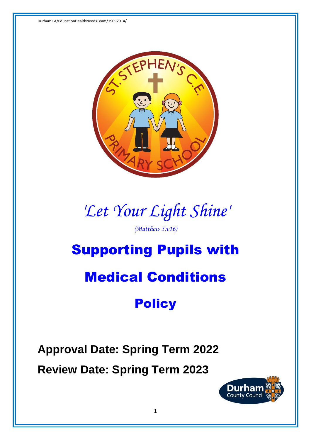



*(Matthew 5.v16)*

# Supporting Pupils with

## Medical Conditions

## **Policy**

**Approval Date: Spring Term 2022 Review Date: Spring Term 2023**

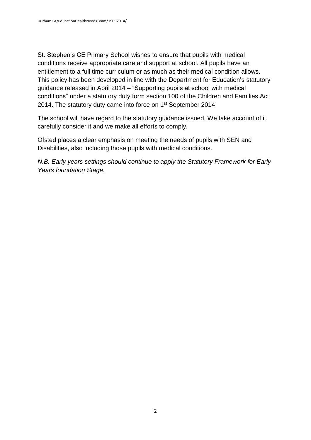St. Stephen's CE Primary School wishes to ensure that pupils with medical conditions receive appropriate care and support at school. All pupils have an entitlement to a full time curriculum or as much as their medical condition allows. This policy has been developed in line with the Department for Education's statutory guidance released in April 2014 – "Supporting pupils at school with medical conditions" under a statutory duty form section 100 of the Children and Families Act 2014. The statutory duty came into force on 1<sup>st</sup> September 2014

The school will have regard to the statutory guidance issued. We take account of it, carefully consider it and we make all efforts to comply.

Ofsted places a clear emphasis on meeting the needs of pupils with SEN and Disabilities, also including those pupils with medical conditions.

*N.B. Early years settings should continue to apply the Statutory Framework for Early Years foundation Stage.*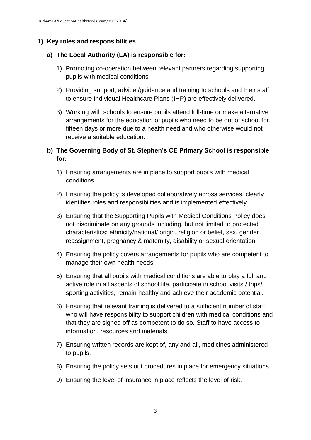## **1) Key roles and responsibilities**

#### **a) The Local Authority (LA) is responsible for:**

- 1) Promoting co-operation between relevant partners regarding supporting pupils with medical conditions.
- 2) Providing support, advice /guidance and training to schools and their staff to ensure Individual Healthcare Plans (IHP) are effectively delivered.
- 3) Working with schools to ensure pupils attend full-time or make alternative arrangements for the education of pupils who need to be out of school for fifteen days or more due to a health need and who otherwise would not receive a suitable education.

## **b) The Governing Body of St. Stephen's CE Primary School is responsible for:**

- 1) Ensuring arrangements are in place to support pupils with medical conditions.
- 2) Ensuring the policy is developed collaboratively across services, clearly identifies roles and responsibilities and is implemented effectively.
- 3) Ensuring that the Supporting Pupils with Medical Conditions Policy does not discriminate on any grounds including, but not limited to protected characteristics: ethnicity/national/ origin, religion or belief, sex, gender reassignment, pregnancy & maternity, disability or sexual orientation.
- 4) Ensuring the policy covers arrangements for pupils who are competent to manage their own health needs.
- 5) Ensuring that all pupils with medical conditions are able to play a full and active role in all aspects of school life, participate in school visits / trips/ sporting activities, remain healthy and achieve their academic potential.
- 6) Ensuring that relevant training is delivered to a sufficient number of staff who will have responsibility to support children with medical conditions and that they are signed off as competent to do so. Staff to have access to information, resources and materials.
- 7) Ensuring written records are kept of, any and all, medicines administered to pupils.
- 8) Ensuring the policy sets out procedures in place for emergency situations.
- 9) Ensuring the level of insurance in place reflects the level of risk.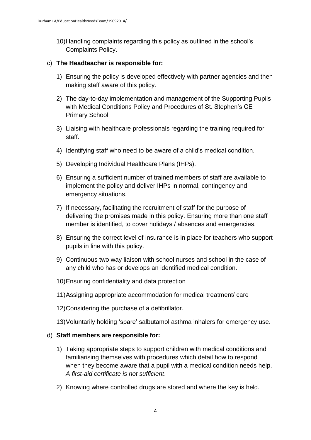10)Handling complaints regarding this policy as outlined in the school's Complaints Policy.

#### c) **The Headteacher is responsible for:**

- 1) Ensuring the policy is developed effectively with partner agencies and then making staff aware of this policy.
- 2) The day-to-day implementation and management of the Supporting Pupils with Medical Conditions Policy and Procedures of St. Stephen's CE Primary School
- 3) Liaising with healthcare professionals regarding the training required for staff.
- 4) Identifying staff who need to be aware of a child's medical condition.
- 5) Developing Individual Healthcare Plans (IHPs).
- 6) Ensuring a sufficient number of trained members of staff are available to implement the policy and deliver IHPs in normal, contingency and emergency situations.
- 7) If necessary, facilitating the recruitment of staff for the purpose of delivering the promises made in this policy. Ensuring more than one staff member is identified, to cover holidays / absences and emergencies.
- 8) Ensuring the correct level of insurance is in place for teachers who support pupils in line with this policy.
- 9) Continuous two way liaison with school nurses and school in the case of any child who has or develops an identified medical condition.
- 10)Ensuring confidentiality and data protection
- 11)Assigning appropriate accommodation for medical treatment/ care
- 12)Considering the purchase of a defibrillator.
- 13)Voluntarily holding 'spare' salbutamol asthma inhalers for emergency use.

#### d) **Staff members are responsible for:**

- 1) Taking appropriate steps to support children with medical conditions and familiarising themselves with procedures which detail how to respond when they become aware that a pupil with a medical condition needs help. *A first-aid certificate is not sufficient*.
- 2) Knowing where controlled drugs are stored and where the key is held.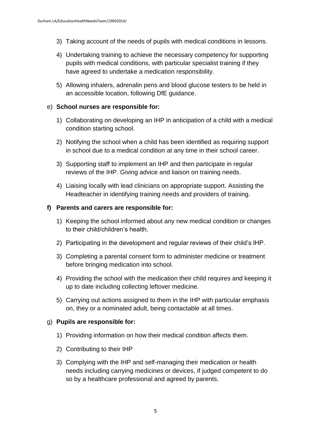- 3) Taking account of the needs of pupils with medical conditions in lessons.
- 4) Undertaking training to achieve the necessary competency for supporting pupils with medical conditions, with particular specialist training if they have agreed to undertake a medication responsibility.
- 5) Allowing inhalers, adrenalin pens and blood glucose testers to be held in an accessible location, following DfE guidance.

#### e) **School nurses are responsible for:**

- 1) Collaborating on developing an IHP in anticipation of a child with a medical condition starting school.
- 2) Notifying the school when a child has been identified as requiring support in school due to a medical condition at any time in their school career.
- 3) Supporting staff to implement an IHP and then participate in regular reviews of the IHP. Giving advice and liaison on training needs.
- 4) Liaising locally with lead clinicians on appropriate support. Assisting the Headteacher in identifying training needs and providers of training.

#### **f) Parents and carers are responsible for:**

- 1) Keeping the school informed about any new medical condition or changes to their child/children's health.
- 2) Participating in the development and regular reviews of their child's IHP.
- 3) Completing a parental consent form to administer medicine or treatment before bringing medication into school.
- 4) Providing the school with the medication their child requires and keeping it up to date including collecting leftover medicine.
- 5) Carrying out actions assigned to them in the IHP with particular emphasis on, they or a nominated adult, being contactable at all times.

#### g) **Pupils are responsible for:**

- 1) Providing information on how their medical condition affects them.
- 2) Contributing to their IHP
- 3) Complying with the IHP and self-managing their medication or health needs including carrying medicines or devices, if judged competent to do so by a healthcare professional and agreed by parents.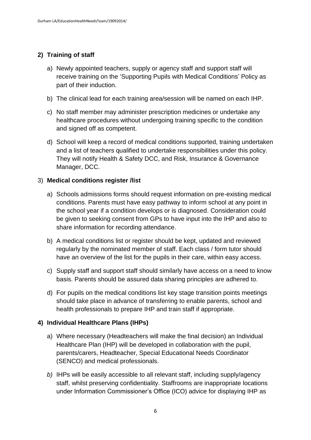## **2) Training of staff**

- a) Newly appointed teachers, supply or agency staff and support staff will receive training on the 'Supporting Pupils with Medical Conditions' Policy as part of their induction.
- b) The clinical lead for each training area/session will be named on each IHP.
- c) No staff member may administer prescription medicines or undertake any healthcare procedures without undergoing training specific to the condition and signed off as competent.
- d) School will keep a record of medical conditions supported, training undertaken and a list of teachers qualified to undertake responsibilities under this policy. They will notify Health & Safety DCC, and Risk, Insurance & Governance Manager, DCC.

### 3) **Medical conditions register /list**

- a) Schools admissions forms should request information on pre-existing medical conditions. Parents must have easy pathway to inform school at any point in the school year if a condition develops or is diagnosed. Consideration could be given to seeking consent from GPs to have input into the IHP and also to share information for recording attendance.
- b) A medical conditions list or register should be kept, updated and reviewed regularly by the nominated member of staff. Each class / form tutor should have an overview of the list for the pupils in their care, within easy access.
- c) Supply staff and support staff should similarly have access on a need to know basis. Parents should be assured data sharing principles are adhered to.
- d) For pupils on the medical conditions list key stage transition points meetings should take place in advance of transferring to enable parents, school and health professionals to prepare IHP and train staff if appropriate.

### **4) Individual Healthcare Plans (IHPs)**

- a) Where necessary (Headteachers will make the final decision) an Individual Healthcare Plan (IHP) will be developed in collaboration with the pupil, parents/carers, Headteacher, Special Educational Needs Coordinator (SENCO) and medical professionals.
- *b)* IHPs will be easily accessible to all relevant staff, including supply/agency staff, whilst preserving confidentiality. Staffrooms are inappropriate locations under Information Commissioner's Office (ICO) advice for displaying IHP as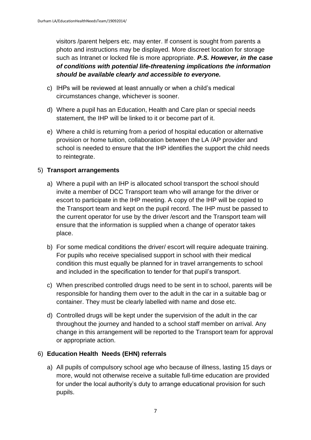visitors /parent helpers etc. may enter. If consent is sought from parents a photo and instructions may be displayed. More discreet location for storage such as Intranet or locked file is more appropriate. *P.S. However, in the case of conditions with potential life-threatening implications the information should be available clearly and accessible to everyone.*

- c) IHPs will be reviewed at least annually or when a child's medical circumstances change, whichever is sooner.
- d) Where a pupil has an Education, Health and Care plan or special needs statement, the IHP will be linked to it or become part of it.
- e) Where a child is returning from a period of hospital education or alternative provision or home tuition, collaboration between the LA /AP provider and school is needed to ensure that the IHP identifies the support the child needs to reintegrate.

## 5) **Transport arrangements**

- a) Where a pupil with an IHP is allocated school transport the school should invite a member of DCC Transport team who will arrange for the driver or escort to participate in the IHP meeting. A copy of the IHP will be copied to the Transport team and kept on the pupil record. The IHP must be passed to the current operator for use by the driver /escort and the Transport team will ensure that the information is supplied when a change of operator takes place.
- b) For some medical conditions the driver/ escort will require adequate training. For pupils who receive specialised support in school with their medical condition this must equally be planned for in travel arrangements to school and included in the specification to tender for that pupil's transport.
- c) When prescribed controlled drugs need to be sent in to school, parents will be responsible for handing them over to the adult in the car in a suitable bag or container. They must be clearly labelled with name and dose etc.
- d) Controlled drugs will be kept under the supervision of the adult in the car throughout the journey and handed to a school staff member on arrival. Any change in this arrangement will be reported to the Transport team for approval or appropriate action.

## 6) **Education Health Needs (EHN) referrals**

a) All pupils of compulsory school age who because of illness, lasting 15 days or more, would not otherwise receive a suitable full-time education are provided for under the local authority's duty to arrange educational provision for such pupils.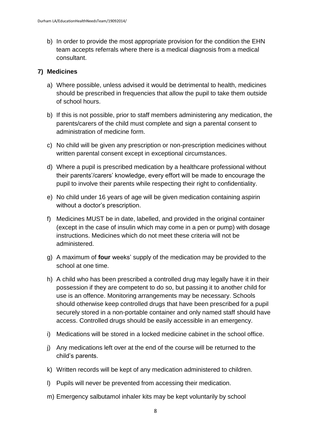b) In order to provide the most appropriate provision for the condition the EHN team accepts referrals where there is a medical diagnosis from a medical consultant.

#### **7) Medicines**

- a) Where possible, unless advised it would be detrimental to health, medicines should be prescribed in frequencies that allow the pupil to take them outside of school hours.
- b) If this is not possible, prior to staff members administering any medication, the parents/carers of the child must complete and sign a parental consent to administration of medicine form.
- c) No child will be given any prescription or non-prescription medicines without written parental consent except in exceptional circumstances.
- d) Where a pupil is prescribed medication by a healthcare professional without their parents'/carers' knowledge, every effort will be made to encourage the pupil to involve their parents while respecting their right to confidentiality.
- e) No child under 16 years of age will be given medication containing aspirin without a doctor's prescription.
- f) Medicines MUST be in date, labelled, and provided in the original container (except in the case of insulin which may come in a pen or pump) with dosage instructions. Medicines which do not meet these criteria will not be administered.
- g) A maximum of **four** weeks' supply of the medication may be provided to the school at one time.
- h) A child who has been prescribed a controlled drug may legally have it in their possession if they are competent to do so, but passing it to another child for use is an offence. Monitoring arrangements may be necessary. Schools should otherwise keep controlled drugs that have been prescribed for a pupil securely stored in a non-portable container and only named staff should have access. Controlled drugs should be easily accessible in an emergency.
- i) Medications will be stored in a locked medicine cabinet in the school office.
- j) Any medications left over at the end of the course will be returned to the child's parents.
- k) Written records will be kept of any medication administered to children.
- l) Pupils will never be prevented from accessing their medication.
- m) Emergency salbutamol inhaler kits may be kept voluntarily by school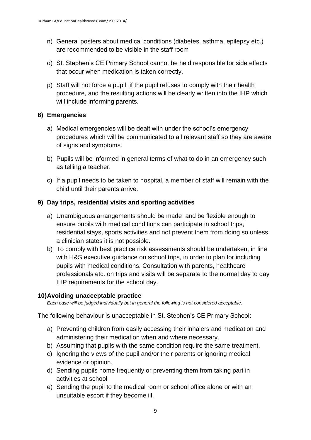- n) General posters about medical conditions (diabetes, asthma, epilepsy etc.) are recommended to be visible in the staff room
- o) St. Stephen's CE Primary School cannot be held responsible for side effects that occur when medication is taken correctly.
- p) Staff will not force a pupil, if the pupil refuses to comply with their health procedure, and the resulting actions will be clearly written into the IHP which will include informing parents.

#### **8) Emergencies**

- a) Medical emergencies will be dealt with under the school's emergency procedures which will be communicated to all relevant staff so they are aware of signs and symptoms.
- b) Pupils will be informed in general terms of what to do in an emergency such as telling a teacher.
- c) If a pupil needs to be taken to hospital, a member of staff will remain with the child until their parents arrive.

#### **9) Day trips, residential visits and sporting activities**

- a) Unambiguous arrangements should be made and be flexible enough to ensure pupils with medical conditions can participate in school trips, residential stays, sports activities and not prevent them from doing so unless a clinician states it is not possible.
- b) To comply with best practice risk assessments should be undertaken, in line with H&S executive guidance on school trips, in order to plan for including pupils with medical conditions. Consultation with parents, healthcare professionals etc. on trips and visits will be separate to the normal day to day IHP requirements for the school day.

#### **10)Avoiding unacceptable practice**

*Each case will be judged individually but in general the following is not considered acceptable.* 

The following behaviour is unacceptable in St. Stephen's CE Primary School:

- a) Preventing children from easily accessing their inhalers and medication and administering their medication when and where necessary.
- b) Assuming that pupils with the same condition require the same treatment.
- c) Ignoring the views of the pupil and/or their parents or ignoring medical evidence or opinion.
- d) Sending pupils home frequently or preventing them from taking part in activities at school
- e) Sending the pupil to the medical room or school office alone or with an unsuitable escort if they become ill.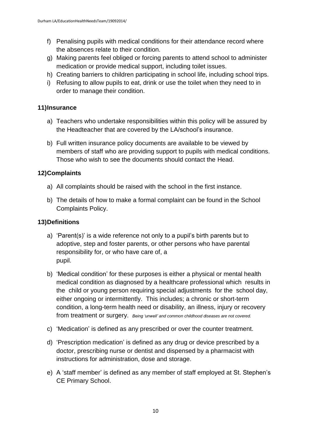- f) Penalising pupils with medical conditions for their attendance record where the absences relate to their condition.
- g) Making parents feel obliged or forcing parents to attend school to administer medication or provide medical support, including toilet issues.
- h) Creating barriers to children participating in school life, including school trips.
- i) Refusing to allow pupils to eat, drink or use the toilet when they need to in order to manage their condition.

## **11)Insurance**

- a) Teachers who undertake responsibilities within this policy will be assured by the Headteacher that are covered by the LA/school's insurance.
- b) Full written insurance policy documents are available to be viewed by members of staff who are providing support to pupils with medical conditions. Those who wish to see the documents should contact the Head.

## **12)Complaints**

- a) All complaints should be raised with the school in the first instance.
- b) The details of how to make a formal complaint can be found in the School Complaints Policy.

## **13)Definitions**

- a) 'Parent(s)' is a wide reference not only to a pupil's birth parents but to adoptive, step and foster parents, or other persons who have parental responsibility for, or who have care of, a pupil.
- b) 'Medical condition' for these purposes is either a physical or mental health medical condition as diagnosed by a healthcare professional which results in the child or young person requiring special adjustments for the school day, either ongoing or intermittently. This includes; a chronic or short-term condition, a long-term health need or disability, an illness, injury or recovery from treatment or surgery. *Being 'unwell' and common childhood diseases are not covered.*
- c) 'Medication' is defined as any prescribed or over the counter treatment.
- d) 'Prescription medication' is defined as any drug or device prescribed by a doctor, prescribing nurse or dentist and dispensed by a pharmacist with instructions for administration, dose and storage.
- e) A 'staff member' is defined as any member of staff employed at St. Stephen's CE Primary School.